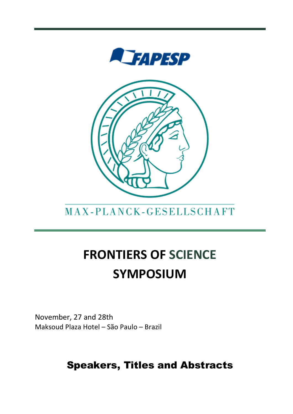

## MAX-PLANCK-GESELLSCHAFT

# FRONTIERS OF SCIENCE SYMPOSIUM

November, 27 and 28th Maksoud Plaza Hotel – São Paulo – Brazil

## Speakers, Titles and Abstracts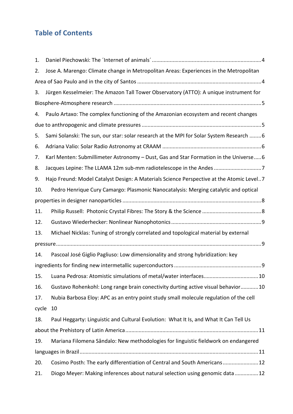## Table of Contents

| 1.    |                                                                                          |
|-------|------------------------------------------------------------------------------------------|
| 2.    | Jose A. Marengo: Climate change in Metropolitan Areas: Experiences in the Metropolitan   |
|       |                                                                                          |
| 3.    | Jürgen Kesselmeier: The Amazon Tall Tower Observatory (ATTO): A unique instrument for    |
|       |                                                                                          |
| 4.    | Paulo Artaxo: The complex functioning of the Amazonian ecosystem and recent changes      |
|       |                                                                                          |
| 5.    | Sami Solanski: The sun, our star: solar research at the MPI for Solar System Research  6 |
| 6.    |                                                                                          |
| 7.    | Karl Menten: Submillimeter Astronomy - Dust, Gas and Star Formation in the Universe 6    |
| 8.    | Jacques Lepine: The LLAMA 12m sub-mm radiotelescope in the Andes 7                       |
| 9.    | Hajo Freund: Model Catalyst Design: A Materials Science Perspective at the Atomic Level7 |
| 10.   | Pedro Henrique Cury Camargo: Plasmonic Nanocatalysis: Merging catalytic and optical      |
|       |                                                                                          |
| 11.   |                                                                                          |
|       |                                                                                          |
| 12.   |                                                                                          |
| 13.   | Michael Nicklas: Tuning of strongly correlated and topological material by external      |
|       |                                                                                          |
| 14.   | Pascoal José Giglio Pagliuso: Low dimensionality and strong hybridization: key           |
|       |                                                                                          |
|       | 15. Luana Pedrosa: Atomistic simulations of metal/water interfaces 10                    |
| 16.   | Gustavo Rohenkohl: Long range brain conectivity durting active visual behavior10         |
| 17.   | Nubia Barbosa Eloy: APC as an entry point study small molecule regulation of the cell    |
| cycle | 10                                                                                       |
| 18.   | Paul Heggarty: Linguistic and Cultural Evolution: What It Is, and What It Can Tell Us    |
|       |                                                                                          |
| 19.   | Mariana Filomena Sândalo: New methodologies for linguistic fieldwork on endangered       |
|       |                                                                                          |
| 20.   | Cosimo Posth: The early differentiation of Central and South Americans 12                |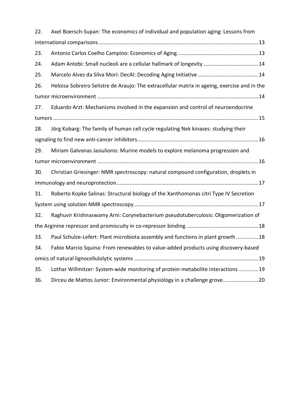| 22. | Axel Boersch-Supan: The economics of individual and population aging: Lessons from           |  |
|-----|----------------------------------------------------------------------------------------------|--|
|     |                                                                                              |  |
| 23. |                                                                                              |  |
| 24. | Adam Antebi: Small nucleoli are a cellular hallmark of longevity  14                         |  |
| 25. |                                                                                              |  |
| 26. | Heloisa Sobreiro Selistre de Araujo: The extracellular matrix in ageing, exercise and in the |  |
|     |                                                                                              |  |
| 27. | Eduardo Arzt: Mechanisms involved in the expansion and control of neuroendocrine             |  |
|     |                                                                                              |  |
| 28. | Jörg Kobarg: The family of human cell cycle regulating Nek kinases: studying their           |  |
|     |                                                                                              |  |
| 29. | Miriam Galvonas Jasiulionis: Murine models to explore melanoma progression and               |  |
|     |                                                                                              |  |
| 30. | Christian Griesinger: NMR spectroscopy: natural compound configuration, droplets in          |  |
|     |                                                                                              |  |
| 31. | Roberto Kopke Salinas: Structural biology of the Xanthomonas citri Type IV Secretion         |  |
|     |                                                                                              |  |
| 32. | Raghuvir Krishnaswamy Arni: Corynebacterium pseudotuberculosis: Oligomerization of           |  |
|     |                                                                                              |  |
| 33. | Paul Schulze-Lefert: Plant microbiota assembly and functions in plant growth  18             |  |
| 34. | Fabio Marcio Squina: From renewables to value-added products using discovery-based           |  |
|     |                                                                                              |  |
| 35. | Lothar Willmitzer: System-wide monitoring of protein-metabolite interactions 19              |  |
| 36. | Dirceu de Mattos Junior: Environmental physiology in a challenge grove20                     |  |
|     |                                                                                              |  |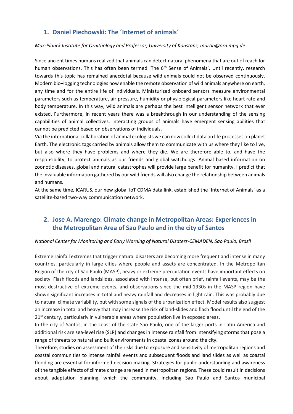## 1. Daniel Piechowski: The ´Internet of animals´

#### Max-Planck Institute for Ornithology and Professor, University of Konstanz, martin@orn.mpg.de

Since ancient times humans realized that animals can detect natural phenomena that are out of reach for human observations. This has often been termed 'The 6<sup>th</sup> Sense of Animals'. Until recently, research towards this topic has remained anecdotal because wild animals could not be observed continuously. Modern bio–logging technologies now enable the remote observation of wild animals anywhere on earth, any time and for the entire life of individuals. Miniaturized onboard sensors measure environmental parameters such as temperature, air pressure, humidity or physiological parameters like heart rate and body temperature. In this way, wild animals are perhaps the best intelligent sensor network that ever existed. Furthermore, in recent years there was a breakthrough in our understanding of the sensing capabilities of animal collectives. Interacting groups of animals have emergent sensing abilities that cannot be predicted based on observations of individuals.

Via the international collaboration of animal ecologists we can now collect data on life processes on planet Earth. The electronic tags carried by animals allow them to communicate with us where they like to live, but also where they have problems and where they die. We are therefore able to, and have the responsibility, to protect animals as our friends and global watchdogs. Animal based information on zoonotic diseases, global and natural catastrophes will provide large benefit for humanity. I predict that the invaluable information gathered by our wild friends will also change the relationship between animals and humans.

At the same time, ICARUS, our new global IoT CDMA data link, established the ´Internet of Animals´ as a satellite-based two-way communication network.

## 2. Jose A. Marengo: Climate change in Metropolitan Areas: Experiences in the Metropolitan Area of Sao Paulo and in the city of Santos

#### National Center for Monitoring and Early Warning of Natural Disaters-CEMADEN, Sao Paulo, Brazil

Extreme rainfall extremes that trigger natural disasters are becoming more frequent and intense in many countries, particularly in large cities where people and assets are concentrated. In the Metropolitan Region of the city of São Paulo (MASP), heavy or extreme precipitation events have important effects on society. Flash floods and landslides, associated with intense, but often brief, rainfall events, may be the most destructive of extreme events, and observations since the mid-1930s in the MASP region have shown significant increases in total and heavy rainfall and decreases in light rain. This was probably due to natural climate variability, but with some signals of the urbanization effect. Model results also suggest an increase in total and heavy that may increase the risk of land-slides and flash flood until the end of the  $21<sup>st</sup>$  century, particularly in vulnerable areas where population live in exposed areas.

In the city of Santos, in the coast of the state Sao Paulo, one of the larger ports in Latin America and additional risk are sea-level rise (SLR) and changes in intense rainfall from intensifying storms that pose a range of threats to natural and built environments in coastal zones around the city.

Therefore, studies on assessment of the risks due to exposure and sensitivity of metropolitan regions and coastal communities to intense rainfall events and subsequent floods and land slides as well as coastal flooding are essential for informed decision-making. Strategies for public understanding and awareness of the tangible effects of climate change are need in metropolitan regions. These could result in decisions about adaptation planning, which the community, including Sao Paulo and Santos municipal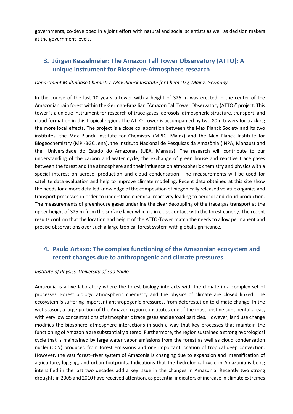governments, co-developed in a joint effort with natural and social scientists as well as decision makers at the government levels.

## 3. Jürgen Kesselmeier: The Amazon Tall Tower Observatory (ATTO): A unique instrument for Biosphere-Atmosphere research

#### Department Multiphase Chemistry. Max Planck Institute for Chemistry, Mainz, Germany

In the course of the last 10 years a tower with a height of 325 m was erected in the center of the Amazonian rain forest within the German-Brazilian "Amazon Tall Tower Observatory (ATTO)" project. This tower is a unique instrument for research of trace gases, aerosols, atmospheric structure, transport, and cloud formation in this tropical region. The ATTO-Tower is accompanied by two 80m towers for tracking the more local effects. The project is a close collaboration between the Max Planck Society and its two institutes, the Max Planck Institute for Chemistry (MPIC, Mainz) and the Max Planck Institute for Biogeochemistry (MPI-BGC Jena), the Instituto Nacional de Pesquisas da Amazônia (INPA, Manaus) and the "Universidade do Estado do Amazonas (UEA, Manaus). The research will contribute to our understanding of the carbon and water cycle, the exchange of green house and reactive trace gases between the forest and the atmosphere and their influence on atmospheric chemistry and physics with a special interest on aerosol production and cloud condensation. The measurements will be used for satellite data evaluation and help to improve climate modeling. Recent data obtained at this site show the needs for a more detailed knowledge of the composition of biogenically released volatile organics and transport processes in order to understand chemical reactivity leading to aerosol and cloud production. The measurements of greenhouse gases underline the clear decoupling of the trace gas transport at the upper height of 325 m from the surface layer which is in close contact with the forest canopy. The recent results confirm that the location and height of the ATTO-Tower match the needs to allow permanent and precise observations over such a large tropical forest system with global significance.

## 4. Paulo Artaxo: The complex functioning of the Amazonian ecosystem and recent changes due to anthropogenic and climate pressures

#### Institute of Physics, University of São Paulo

Amazonia is a live laboratory where the forest biology interacts with the climate in a complex set of processes. Forest biology, atmospheric chemistry and the physics of climate are closed linked. The ecosystem is suffering important anthropogenic pressures, from deforestation to climate change. In the wet season, a large portion of the Amazon region constitutes one of the most pristine continental areas, with very low concentrations of atmospheric trace gases and aerosol particles. However, land use change modifies the biosphere–atmosphere interactions in such a way that key processes that maintain the functioning of Amazonia are substantially altered. Furthermore, the region sustained a strong hydrological cycle that is maintained by large water vapor emissions from the forest as well as cloud condensation nuclei (CCN) produced from forest emissions and one important location of tropical deep convection. However, the vast forest–river system of Amazonia is changing due to expansion and intensification of agriculture, logging, and urban footprints. Indications that the hydrological cycle in Amazonia is being intensified in the last two decades add a key issue in the changes in Amazonia. Recently two strong droughts in 2005 and 2010 have received attention, as potential indicators of increase in climate extremes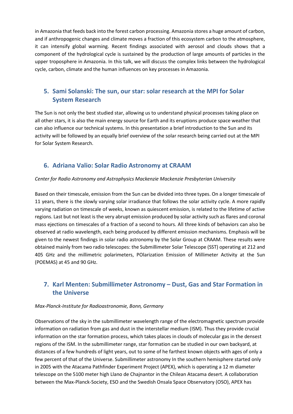in Amazonia that feeds back into the forest carbon processing. Amazonia stores a huge amount of carbon, and if anthropogenic changes and climate moves a fraction of this ecosystem carbon to the atmosphere, it can intensify global warming. Recent findings associated with aerosol and clouds shows that a component of the hydrological cycle is sustained by the production of large amounts of particles in the upper troposphere in Amazonia. In this talk, we will discuss the complex links between the hydrological cycle, carbon, climate and the human influences on key processes in Amazonia.

## 5. Sami Solanski: The sun, our star: solar research at the MPI for Solar System Research

The Sun is not only the best studied star, allowing us to understand physical processes taking place on all other stars, it is also the main energy source for Earth and its eruptions produce space weather that can also influence our technical systems. In this presentation a brief introduction to the Sun and its activity will be followed by an equally brief overview of the solar research being carried out at the MPI for Solar System Research.

## 6. Adriana Valio: Solar Radio Astronomy at CRAAM

#### Center for Radio Astronomy and Astrophysics Mackenzie Mackenzie Presbyterian University

Based on their timescale, emission from the Sun can be divided into three types. On a longer timescale of 11 years, there is the slowly varying solar irradiance that follows the solar activity cycle. A more rapidly varying radiation on timescale of weeks, known as quiescent emission, is related to the lifetime of active regions. Last but not least is the very abrupt emission produced by solar activity such as flares and coronal mass ejections on timescales of a fraction of a second to hours. All three kinds of behaviors can also be observed at radio wavelength, each being produced by different emission mechanisms. Emphasis will be given to the newest findings in solar radio astronomy by the Solar Group at CRAAM. These results were obtained mainly from two radio telescopes: the Submillimeter Solar Telescope (SST) operating at 212 and 405 GHz and the millimetric polarimeters, POlarization Emission of Millimeter Activity at the Sun (POEMAS) at 45 and 90 GHz.

## 7. Karl Menten: Submillimeter Astronomy – Dust, Gas and Star Formation in the Universe

#### Max-Planck-Institute for Radioastronomie, Bonn, Germany

Observations of the sky in the submillimeter wavelength range of the electromagnetic spectrum provide information on radiation from gas and dust in the interstellar medium (ISM). Thus they provide crucial information on the star formation process, which takes places in clouds of molecular gas in the densest regions of the ISM. In the submillimeter range, star formation can be studied in our own backyard, at distances of a few hundreds of light years, out to some of he farthest known objects with ages of only a few percent of that of the Universe. Submillimeter astronomy In the southern hemisphere started only in 2005 with the Atacama Pathfinder Experiment Project (APEX), which is operating a 12 m diameter telescope on the 5100 meter high Llano de Chajnantor in the Chilean Atacama desert. A collaboration between the Max-Planck-Society, ESO and the Swedish Onsala Space Observatory (OSO), APEX has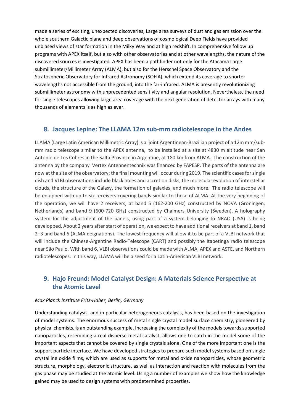made a series of exciting, unexpected discoveries, Large area surveys of dust and gas emission over the whole southern Galactic plane and deep observations of cosmological Deep Fields have provided unbiased views of star formation in the Milky Way and at high redshift. In comprehensive follow up programs with APEX itself, but also with other observatories and at other wavelengths, the nature of the discovered sources is investigated. APEX has been a pathfinder not only for the Atacama Large submillimeter/Millimeter Array (ALMA), but also for the Herschel Space Observatory and the Stratospheric Observatory for Infrared Astronomy (SOFIA), which extend its coverage to shorter wavelengths not accessible from the ground, into the far-infrared. ALMA is presently revolutionizing submillimeter astronomy with unprecedented sensitivity and angular resolution. Nevertheless, the need for single telescopes allowing large area coverage with the next generation of detector arrays with many thousands of elements is as high as ever.

#### 8. Jacques Lepine: The LLAMA 12m sub-mm radiotelescope in the Andes

LLAMA (Large Latin American Millimetric Array) is a joint Argentinean-Brazilian project of a 12m mm/submm radio telescope similar to the APEX antenna, to be installed at a site at 4830 m altitude near San Antonio de Los Cobres in the Salta Province in Argentine, at 180 km from ALMA. The construction of the antenna by the company Vertex Antennentechnik was financed by FAPESP. The parts of the antenna are now at the site of the observatory; the final mounting will occur during 2019. The scientific cases for single dish and VLBI observations include black holes and accretion disks, the molecular evolution of interstellar clouds, the structure of the Galaxy, the formation of galaxies, and much more. The radio telescope will be equipped with up to six receivers covering bands similar to those of ALMA. At the very beginning of the operation, we will have 2 receivers, at band 5 (162-200 GHz) constructed by NOVA (Groningen, Netherlands) and band 9 (600-720 GHz) constructed by Chalmers University (Sweden). A holography system for the adjustment of the panels, using part of a system belonging to NRAO (USA) is being developped. About 2 years after start of operation, we expect to have additional receivers at band 1, band 2+3 and band 6 (ALMA deignations). The lowest frequency will allow it to be part of a VLBI network that will include the Chinese-Argentine Radio-Telescope (CART) and possibly the Itapetinga radio telescope near São Paulo. With band 6, VLBI observations could be made with ALMA, APEX and ASTE, and Northern radiotelescopes. In this way, LLAMA will be a seed for a Latin-American VLBI network.

## 9. Hajo Freund: Model Catalyst Design: A Materials Science Perspective at the Atomic Level

#### Max Planck Institute Fritz-Haber, Berlin, Germany

Understanding catalysis, and in particular heterogeneous catalysis, has been based on the investigation of model systems. The enormous success of metal single crystal model surface chemistry, pioneered by physical chemists, is an outstanding example. Increasing the complexity of the models towards supported nanoparticles, resembling a real disperse metal catalyst, allows one to catch in the model some of the important aspects that cannot be covered by single crystals alone. One of the more important one is the support particle interface. We have developed strategies to prepare such model systems based on single crystalline oxide films, which are used as supports for metal and oxide nanoparticles, whose geometric structure, morphology, electronic structure, as well as interaction and reaction with molecules from the gas phase may be studied at the atomic level. Using a number of examples we show how the knowledge gained may be used to design systems with predetermined properties.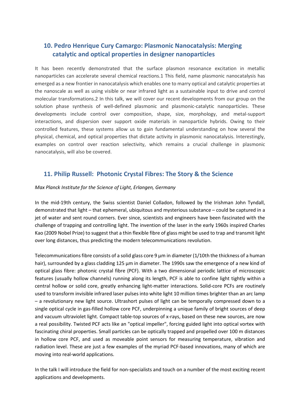## 10. Pedro Henrique Cury Camargo: Plasmonic Nanocatalysis: Merging catalytic and optical properties in designer nanoparticles

It has been recently demonstrated that the surface plasmon resonance excitation in metallic nanoparticles can accelerate several chemical reactions.1 This field, name plasmonic nanocatalysis has emerged as a new frontier in nanocatalysis which enables one to marry optical and catalytic properties at the nanoscale as well as using visible or near infrared light as a sustainable input to drive and control molecular transformations.2 In this talk, we will cover our recent developments from our group on the solution phase synthesis of well-defined plasmonic and plasmonic-catalytic nanoparticles. These developments include control over composition, shape, size, morphology, and metal-support interactions, and dispersion over support oxide materials in nanoparticle hybrids. Owing to their controlled features, these systems allow us to gain fundamental understanding on how several the physical, chemical, and optical properties that dictate activity in plasmonic nanocatalysis. Interestingly, examples on control over reaction selectivity, which remains a crucial challenge in plasmonic nanocatalysis, will also be covered.

## 11. Philip Russell: Photonic Crystal Fibres: The Story & the Science

#### Max Planck Institute for the Science of Light, Erlangen, Germany

In the mid-19th century, the Swiss scientist Daniel Colladon, followed by the Irishman John Tyndall, demonstrated that light – that ephemeral, ubiquitous and mysterious substance – could be captured in a jet of water and sent round corners. Ever since, scientists and engineers have been fascinated with the challenge of trapping and controlling light. The invention of the laser in the early 1960s inspired Charles Kao (2009 Nobel Prize) to suggest that a thin flexible fibre of glass might be used to trap and transmit light over long distances, thus predicting the modern telecommunications revolution.

Telecommunications fibre consists of a solid glass core 9  $\mu$ m in diameter (1/10th the thickness of a human hair), surrounded by a glass cladding 125 µm in diameter. The 1990s saw the emergence of a new kind of optical glass fibre: photonic crystal fibre (PCF). With a two dimensional periodic lattice of microscopic features (usually hollow channels) running along its length, PCF is able to confine light tightly within a central hollow or solid core, greatly enhancing light-matter interactions. Solid-core PCFs are routinely used to transform invisible infrared laser pulses into white light 10 million times brighter than an arc lamp – a revolutionary new light source. Ultrashort pulses of light can be temporally compressed down to a single optical cycle in gas-filled hollow core PCF, underpinning a unique family of bright sources of deep and vacuum ultraviolet light. Compact table-top sources of x-rays, based on these new sources, are now a real possibility. Twisted PCF acts like an "optical impeller", forcing guided light into optical vortex with fascinating chiral properties. Small particles can be optically trapped and propelled over 100 m distances in hollow core PCF, and used as moveable point sensors for measuring temperature, vibration and radiation level. These are just a few examples of the myriad PCF-based innovations, many of which are moving into real-world applications.

In the talk I will introduce the field for non-specialists and touch on a number of the most exciting recent applications and developments.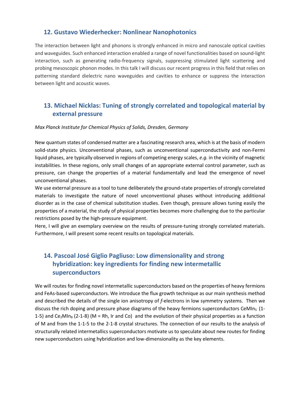## 12. Gustavo Wiederhecker: Nonlinear Nanophotonics

The interaction between light and phonons is strongly enhanced in micro and nanoscale optical cavities and waveguides. Such enhanced interaction enabled a range of novel functionalities based on sound-light interaction, such as generating radio-frequency signals, suppressing stimulated light scattering and probing mesoscopic phonon modes. In this talk I will discuss our recent progress in this field that relies on patterning standard dielectric nano waveguides and cavities to enhance or suppress the interaction between light and acoustic waves.

## 13. Michael Nicklas: Tuning of strongly correlated and topological material by external pressure

#### Max Planck Institute for Chemical Physics of Solids, Dresden, Germany

New quantum states of condensed matter are a fascinating research area, which is at the basis of modern solid-state physics. Unconventional phases, such as unconventional superconductivity and non-Fermi liquid phases, are typically observed in regions of competing energy scales, e.g. in the vicinity of magnetic instabilities. In these regions, only small changes of an appropriate external control parameter, such as pressure, can change the properties of a material fundamentally and lead the emergence of novel unconventional phases.

We use external pressure as a tool to tune deliberately the ground-state properties of strongly correlated materials to investigate the nature of novel unconventional phases without introducing additional disorder as in the case of chemical substitution studies. Even though, pressure allows tuning easily the properties of a material, the study of physical properties becomes more challenging due to the particular restrictions posed by the high-pressure equipment.

Here, I will give an exemplary overview on the results of pressure-tuning strongly correlated materials. Furthermore, I will present some recent results on topological materials.

## 14. Pascoal José Giglio Pagliuso: Low dimensionality and strong hybridization: key ingredients for finding new intermetallic superconductors

We will routes for finding novel intermetallic superconductors based on the properties of heavy fermions and FeAs-based superconductors. We introduce the flux growth technique as our main synthesis method and described the details of the single ion anisotropy of f-electrons in low symmetry systems. Then we discuss the rich doping and pressure phase diagrams of the heavy fermions superconductors CeMIn<sub>5</sub> (1-1-5) and Ce<sub>2</sub>MIn<sub>8</sub> (2-1-8) (M = Rh, Ir and Co) and the evolution of their physical properties as a function of M and from the 1-1-5 to the 2-1-8 crystal structures. The connection of our results to the analysis of structurally related intermetallics superconductors motivate us to speculate about new routes for finding new superconductors using hybridization and low-dimensionality as the key elements.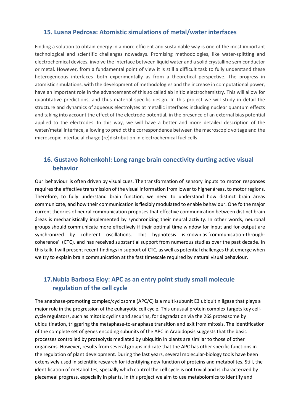#### 15. Luana Pedrosa: Atomistic simulations of metal/water interfaces

Finding a solution to obtain energy in a more efficient and sustainable way is one of the most important technological and scientific challenges nowadays. Promising methodologies, like water-splitting and electrochemical devices, involve the interface between liquid water and a solid crystalline semiconductor or metal. However, from a fundamental point of view it is still a difficult task to fully understand these heterogeneous interfaces both experimentally as from a theoretical perspective. The progress in atomistic simulations, with the development of methodologies and the increase in computational power, have an important role in the advancement of this so called ab initio electrochemistry. This will allow for quantitative predictions, and thus material specific design. In this project we will study in detail the structure and dynamics of aqueous electrolytes at metallic interfaces including nuclear quantum effects and taking into account the effect of the electrode potential, in the presence of an external bias potential applied to the electrodes. In this way, we will have a better and more detailed description of the water/metal interface, allowing to predict the correspondence between the macroscopic voltage and the microscopic interfacial charge (re)distribution in electrochemical fuel cells.

## 16. Gustavo Rohenkohl: Long range brain conectivity durting active visual behavior

Our behaviour is often driven by visual cues. The transformation of sensory inputs to motor responses requires the effective transmission of the visual information from lower to higher áreas, to motor regions. Therefore, to fully understand brain function, we need to understand how distinct brain áreas communicate, and how their communication is flexibly modulated to enable behaviour. One fo the major current theories of neural communication proposes that effective communication between distinct brain áreas is mechanistically implemented by synchronizing their neural activity. In other words, neuronal groups should communicate more effectively if their optimal time window for input and for output are synchronized by coherent oscillations. This hyphotesis is known as 'communication-throughcoherence' (CTC), and has received substantial support from numerous studies over the past decade. In this talk, I will present recent findings in support of CTC, as well as potential challenges that emerge when we try to explain brain communication at the fast timescale required by natural visual behaviour.

## 17.Nubia Barbosa Eloy: APC as an entry point study small molecule regulation of the cell cycle

The anaphase-promoting complex/cyclosome (APC/C) is a multi-subunit E3 ubiquitin ligase that plays a major role in the progression of the eukaryotic cell cycle. This unusual protein complex targets key cellcycle regulators, such as mitotic cyclins and securins, for degradation via the 26S proteasome by ubiquitination, triggering the metaphase-to-anaphase transition and exit from mitosis. The identification of the complete set of genes encoding subunits of the APC in Arabidopsis suggests that the basic processes controlled by proteolysis mediated by ubiquitin in plants are similar to those of other organisms. However, results from several groups indicate that the APC has other specific functions in the regulation of plant development. During the last years, several molecular-biology tools have been extensively used in scientific research for identifying new function of proteins and metabolites. Still, the identification of metabolites, specially which control the cell cycle is not trivial and is characterized by piecemeal progress, especially in plants. In this project we aim to use metabolomics to identify and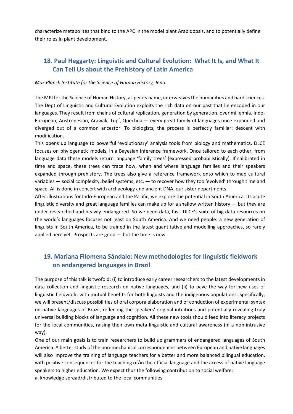characterize metabolites that bind to the APC in the model plant Arabidopsis, and to potentially define their roles in plant development.

## 18. Paul Heggarty: Linguistic and Cultural Evolution: What It Is, and What It Can Tell Us about the Prehistory of Latin America

#### Max Planck Institute for the Science of Human History, Jena

The MPI for the Science of Human History, as per its name, interweaves the humanities and hard sciences. The Dept of Linguistic and Cultural Evolution exploits the rich data on our past that lie encoded in our languages. They result from chains of cultural replication, generation by generation, over millennia. Indo-European, Austronesian, Arawak, Tupí, Quechua — every great family of languages once expanded and diverged out of a common ancestor. To biologists, the process is perfectly familiar: descent with modification.

This opens up language to powerful 'evolutionary' analysis tools from biology and mathematics. DLCE focuses on phylogenetic models, in a Bayesian inference framework. Once tailored to each other, from language data these models return language 'family trees' (expressed probabilistically). If calibrated in time and space, these trees can trace how, when and where language families and their speakers expanded through prehistory. The trees also give a reference framework onto which to map cultural variables — social complexity, belief systems, etc. — to recover how they too 'evolved' through time and space. All is done in concert with archaeology and ancient DNA, our sister departments.

After illustrations for Indo-European and the Pacific, we explore the potential in South America. Its acute linguistic diversity and great language families can make up for a shallow written history — but they are under-researched and heavily endangered. So we need data, fast. DLCE's suite of big data resources on the world's languages focuses not least on South America. And we need people: a new generation of linguists in South America, to be trained in the latest quantitative and modelling approaches, so rarely applied here yet. Prospects are good — but the time is now.

## 19. Mariana Filomena Sândalo: New methodologies for linguistic fieldwork on endangered languages in Brazil

The purpose of this talk is twofold: (i) to introduce early career researchers to the latest developments in data collection and linguistic research on native languages, and (ii) to pave the way for new uses of linguistic fieldwork, with mutual benefits for both linguists and the indigenous populations. Specifically, we will present/discuss possibilities of oral corpora elaboration and of conduction of experimental syntax on native languages of Brazil, reflecting the speakers' original intuitions and potentially revealing truly universal building blocks of language and cognition. All these new tools should feed into literacy projects for the local communities, raising their own meta-linguistic and cultural awareness (in a non-intrusive way).

One of our main goals is to train researchers to build up grammars of endangered languages of South America. A better study of the non-mechanical correspondences between European and native languages will also improve the training of language teachers for a better and more balanced bilingual education, with positive consequences for the teaching of/in the official language and the access of native language speakers to higher education. We expect thus the following contribution to social welfare: a. knowledge spread/distributed to the local communities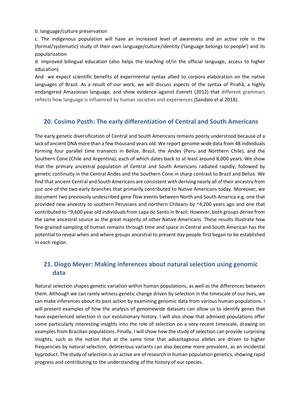b. language/culture preservation

c. The indigenous population will have an increased level of awareness and an active role in the (formal/systematic) study of their own language/culture/identity ('language belongs to people') and its popularization

d. improved bilingual education (also helps the teaching of/in the official language, access to higher education)

And we expect scientific benefits of experimental syntax allied to corpora elaboration on the native languages of Brazil. As a result of our work, we will discuss aspects of the syntax of Pirahã, a highly endangered Amazonian language, and show evidence against Everett (2012) that different grammars reflects how language is influenced by human societies and experiences (Sandalo el al 2018).

### 20. Cosimo Posth: The early differentiation of Central and South Americans

The early genetic diversification of Central and South Americans remains poorly understood because of a lack of ancient DNA more than a few thousand years old. We report genome-wide data from 48 individuals forming four parallel time transects in Belize, Brazil, the Andes (Peru and Northern Chile), and the Southern Cone (Chile and Argentina), each of which dates back to at least around 8,000 years. We show that the primary ancestral population of Central and South Americans radiated rapidly, followed by genetic continuity in the Central Andes and the Southern Cone in sharp contrast to Brazil and Belize. We find that ancient Central and South Americans are consistent with deriving nearly all of their ancestry from just one of the two early branches that primarily contributed to Native Americans today. Moreover, we document two previously undescribed gene flow events between North and South America e.g. one that provided new ancestry to southern Peruvians and northern Chileans by ~4,200 years ago and one that contributed to ~9,600 year old individuals from Lapa do Santo in Brazil. However, both groups derive from the same ancestral source as the great majority of other Native Americans. These results illustrate how fine-grained sampling of human remains through time and space in Central and South American has the potential to reveal when and where groups ancestral to present day people first began to be established in each region.

## 21. Diogo Meyer: Making inferences about natural selection using genomic data

Natural selection shapes genetic variation within human populations, as well as the differences between them. Although we can rarely witness genetic change driven by selection in the timescale of our lives, we can make inferences about its past action by examining genomic data from various human populations. I will present examples of how the analysis of genomewide datasets can allow us to identify genes that have experienced selection in our evolutionary history. I will also show that admixed populations offer some particularly interesting insights into the role of selection on a very recent timescale, drawing on examples from Brazilian populations. Finally, I will show how the study of selection can provide surprising insights, such as the notion that at the same time that advantageous alleles are driven to higher frequencies by natural selection, deleterious variants can also become more prevalent, as an incidental byproduct. The study of selection is an active are of research in human population genetics, showing rapid progress and contributing to the understanding of the history of our species.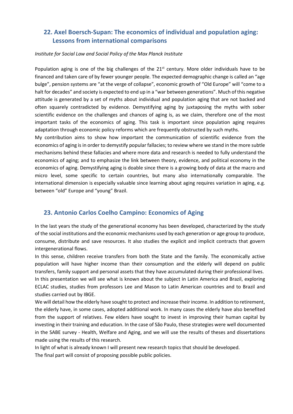## 22. Axel Boersch-Supan: The economics of individual and population aging: Lessons from international comparisons

#### Institute for Social Law and Social Policy of the Max Planck Institute

Population aging is one of the big challenges of the  $21<sup>st</sup>$  century. More older individuals have to be financed and taken care of by fewer younger people. The expected demographic change is called an "age bulge", pension systems are "at the verge of collapse", economic growth of "Old Europe" will "come to a halt for decades" and society is expected to end up in a "war between generations". Much of this negative attitude is generated by a set of myths about individual and population aging that are not backed and often squarely contradicted by evidence. Demystifying aging by juxtaposing the myths with sober scientific evidence on the challenges and chances of aging is, as we claim, therefore one of the most important tasks of the economics of aging. This task is important since population aging requires adaptation through economic policy reforms which are frequently obstructed by such myths.

My contribution aims to show how important the communication of scientific evidence from the economics of aging is in order to demystify popular fallacies; to review where we stand in the more subtle mechanisms behind these fallacies and where more data and research is needed to fully understand the economics of aging; and to emphasize the link between theory, evidence, and political economy in the economics of aging. Demystifying aging is doable since there is a growing body of data at the macro and micro level, some specific to certain countries, but many also internationally comparable. The international dimension is especially valuable since learning about aging requires variation in aging, e.g. between "old" Europe and "young" Brazil.

## 23. Antonio Carlos Coelho Campino: Economics of Aging

In the last years the study of the generational economy has been developed, characterized by the study of the social institutions and the economic mechanisms used by each generation or age group to produce, consume, distribute and save resources. It also studies the explicit and implicit contracts that govern intergenerational flows.

In this sense, children receive transfers from both the State and the family. The economically active population will have higher income than their consumption and the elderly will depend on public transfers, family support and personal assets that they have accumulated during their professional lives. In this presentation we will see what is known about the subject in Latin America and Brazil, exploring ECLAC studies, studies from professors Lee and Mason to Latin American countries and to Brazil and studies carried out by IBGE.

We will detail how the elderly have sought to protect and increase their income. In addition to retirement, the elderly have, in some cases, adopted additional work. In many cases the elderly have also benefited from the support of relatives. Few elders have sought to invest in improving their human capital by investing in their training and education. In the case of São Paulo, these strategies were well documented in the SABE survey - Health, Welfare and Aging, and we will use the results of theses and dissertations made using the results of this research.

In light of what is already known I will present new research topics that should be developed.

The final part will consist of proposing possible public policies.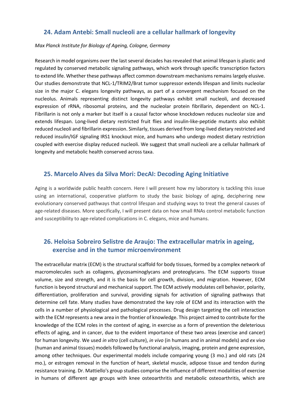## 24. Adam Antebi: Small nucleoli are a cellular hallmark of longevity

#### Max Planck Institute for Biology of Ageing, Cologne, Germany

Research in model organisms over the last several decades has revealed that animal lifespan is plastic and regulated by conserved metabolic signaling pathways, which work through specific transcription factors to extend life. Whether these pathways affect common downstream mechanisms remains largely elusive. Our studies demonstrate that NCL-1/TRIM2/Brat tumor suppressor extends lifespan and limits nucleolar size in the major C. elegans longevity pathways, as part of a convergent mechanism focused on the nucleolus. Animals representing distinct longevity pathways exhibit small nucleoli, and decreased expression of rRNA, ribosomal proteins, and the nucleolar protein fibrillarin, dependent on NCL-1. Fibrillarin is not only a marker but itself is a causal factor whose knockdown reduces nucleolar size and extends lifespan. Long-lived dietary restricted fruit flies and insulin-like-peptide mutants also exhibit reduced nucleoli and fibrillarin expression. Similarly, tissues derived from long-lived dietary restricted and reduced insulin/IGF signaling IRS1 knockout mice, and humans who undergo modest dietary restriction coupled with exercise display reduced nucleoli. We suggest that small nucleoli are a cellular hallmark of longevity and metabolic health conserved across taxa.

#### 25. Marcelo Alves da Silva Mori: DecAI: Decoding Aging Initiative

Aging is a worldwide public health concern. Here I will present how my laboratory is tackling this issue using an international, cooperative platform to study the basic biology of aging, deciphering new evolutionary conserved pathways that control lifespan and studying ways to treat the general causes of age-related diseases. More specifically, I will present data on how small RNAs control metabolic function and susceptibility to age-related complications in C. elegans, mice and humans.

## 26. Heloisa Sobreiro Selistre de Araujo: The extracellular matrix in ageing, exercise and in the tumor microenvironment

The extracellular matrix (ECM) is the structural scaffold for body tissues, formed by a complex network of macromolecules such as collagens, glycosaminoglycans and proteoglycans. The ECM supports tissue volume, size and strength, and it is the basis for cell growth, division, and migration. However, ECM function is beyond structural and mechanical support. The ECM actively modulates cell behavior, polarity, differentiation, proliferation and survival, providing signals for activation of signaling pathways that determine cell fate. Many studies have demonstrated the key role of ECM and its interaction with the cells in a number of physiological and pathological processes. Drug design targeting the cell interaction with the ECM represents a new area in the frontier of knowledge. This project aimed to contribute for the knowledge of the ECM roles in the context of aging, in exercise as a form of prevention the deleterious effects of aging, and in cancer, due to the evident importance of these two areas (exercise and cancer) for human longevity. We used in vitro (cell culture), in vivo (in humans and in animal models) and ex vivo (human and animal tissues) models followed by functional analysis, imaging, protein and gene expression, among other techniques. Our experimental models include comparing young (3 mo.) and old rats (24 mo.), or estrogen removal in the function of heart, skeletal muscle, adipose tissue and tendon during resistance training. Dr. Mattiello's group studies comprise the influence of different modalities of exercise in humans of different age groups with knee osteoarthritis and metabolic osteoarthritis, which are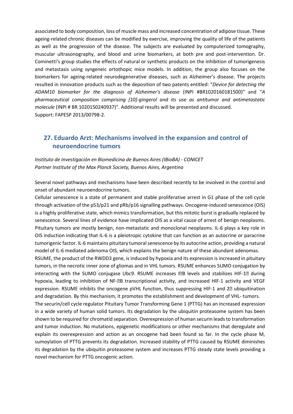associated to body composition, loss of muscle mass and increased concentration of adipose tissue. These ageing-related chronic diseases can be modified by exercise, improving the quality of life of the patients as well as the progression of the disease. The subjects are evaluated by computerized tomography, muscular ultrasonography, and blood and urine biomarkers, at both pre and post-intervention. Dr. Cominetti's group studies the effects of natural or synthetic products on the inhibition of tumorigenesis and metastasis using syngeneic ortothopic mice models. In addition, the group also focuses on the biomarkers for ageing-related neurodegenerative diseases, such as Alzheimer's disease. The projects resulted in innovation products such as the deposition of two patents entitled: "Device for detecting the ADAM10 biomarker for the diagnosis of Alzheimer's disease (INPI #BR1020160181500)" and "A pharmaceutical composition comprising [10]-gingerol and its use as antitumor and antimetastatic molecule (INPI # BR 1020150240937)". Additional results will be presented and discussed. Support: FAPESP 2013/00798-2.

## 27. Eduardo Arzt: Mechanisms involved in the expansion and control of neuroendocrine tumors

Instituto de Investigación en Biomedicina de Buenos Aires (IBioBA) - CONICET Partner Institute of the Max Planck Society, Buenos Aires, Argentina

Several novel pathways and mechanisms have been described recently to be involved in the control and onset of abundant neuroendocrine tumors.

Cellular senescence is a state of permanent and stable proliferative arrest in G1 phase of the cell cycle through activation of the p53/p21 and pRb/p16 signalling pathways. Oncogene-induced senescence (OIS) is a highly proliferative state, which mimics transformation, but this mitotic burst is gradually replaced by senescence. Several lines of evidence have implicated OIS as a vital cause of arrest of benign neoplasms. Pituitary tumors are mostly benign, non-metastatic and monoclonal neoplasms. IL-6 plays a key role in OIS induction indicating that IL-6 is a pleiotropic cytokine that can function as an autocrine or paracrine tumorigenic factor. IL-6 maintains pituitary tumoral senescence by its autocrine action, providing a natural model of IL-6 mediated adenoma OIS, which explains the benign nature of these abundant adenomas.

RSUME, the product of the RWDD3 gene, is induced by hypoxia and its expression is increased in pituitary tumors, in the necrotic inner zone of gliomas and in VHL tumors. RSUME enhances SUMO conjugation by interacting with the SUMO conjugase Ubc9. RSUME increases IZB levels and stabilizes HIF-1Z during hypoxia, leading to inhibition of NF-**DB** transcriptional activity, and increased HIF-1 activity and VEGF expression. RSUME inhibits the oncogene pVHL function, thus suppressing HIF-1 and  $2\mathbb{Z}$  ubiquitination and degradation. By this mechanism, it promotes the establishment and development of VHL- tumors.

The securin/cell cycle regulator Pituitary Tumor Transforming Gene 1 (PTTG) has an increased expression in a wide variety of human solid tumors. Its degradation by the ubiquitin proteasome system has been shown to be required for chromatid separation. Overexpression of human securin leads to transformation and tumor induction. No mutations, epigenetic modifications or other mechanisms that deregulate and explain its overexpression and action as an oncogene had been found so far. In the cycle phase M, sumoylation of PTTG prevents its degradation. Increased stability of PTTG caused by RSUME diminishes its degradation by the ubiquitin proteasome system and increases PTTG steady state levels providing a novel mechanism for PTTG oncogenic action.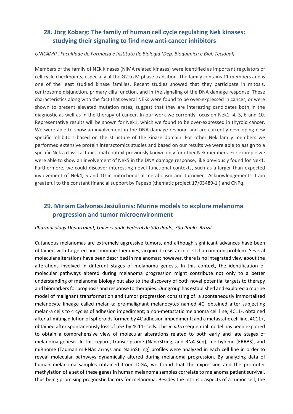## 28. Jörg Kobarg: The family of human cell cycle regulating Nek kinases: studying their signaling to find new anti-cancer inhibitors

#### UNICAMP , Faculdade de Farmácia e Instituto de Biologia (Dep. Bioquímica e Biol. Tecidual)

Members of the family of NEK kinases (NIMA related kinases) were identified as important regulators of cell cycle checkpoints, especially at the G2 to M phase transition. The family contains 11 members and is one of the least studied kinase families. Recent studies showed that they participate in mitosis, centrosome disjunction, primary cilia function, and in the signaling of the DNA damage response. These characteristics along with the fact that several NEKs were found to be over-expressed in cancer, or were shown to present elevated mutation rates, suggest that they are interesting candidates both in the diagnostic as well as in the therapy of cancer. In our work we currently focus on Nek1, 4, 5, 6 and 10. Representative results will be shown for Nek1, which we found to be over-expressed in thyroid cancer. We were able to show an involvement in the DNA damage respond and are currently developing new specific inhibitors based on the structure of the kinase domain. For other Nek family members we performed extensive protein interactomics studies and based on our results we were able to assign to a specific Nek a classical functional context previously known only for other Nek members. For example we were able to show an involvement of Nek5 in the DNA damage response, like previously found for Nek1. Furthermore, we could discover interesting novel functional contexts, such as a larger than expected involvement of Nek4, 5 and 10 in mitochondrial metabolism and turnover. Acknowledgements: I am greateful to the constant financial support by Fapesp (thematic project 17/03489-1 ) and CNPq.

## 29. Miriam Galvonas Jasiulionis: Murine models to explore melanoma progression and tumor microenvironment

#### Pharmacology Department, Universidade Federal de São Paulo, São Paulo, Brazil

Cutaneous melanomas are extremely aggressive tumors, and although significant advances have been obtained with targeted and immune therapies, acquired resistance is still a common problem. Several molecular alterations have been described in melanomas; however, there is no integrated view about the alterations involved in different stages of melanoma genesis. In this context, the identification of molecular pathways altered during melanoma progression might contribute not only to a better understanding of melanoma biology but also to the discovery of both novel potential targets to therapy and biomarkers for prognosis and response to therapies. Our group has established and explored a murine model of malignant transformation and tumor progression consisting of: a spontaneously immortalized melanocyte lineage called melan-a; pre-malignant melanocytes named 4C, obtained after subjecting melan-a cells to 4 cycles of adhesion impediment; a non-metastatic melanoma cell line, 4C11-, obtained after a limiting dilution of spheroids formed by 4C adhesion impediment; and a metastatic cell line, 4C11+, obtained after spontaneously loss of p53 by 4C11- cells. This in vitro sequential model has been explored to obtain a comprehensive view of molecular alterations related to both early and late stages of melanoma genesis. In this regard, transcriptome (NanoString, and RNA-Seq), methylome (ERRBS), and miRnome (Taqman miRNAs arrays and NanoString) profiles were analyzed in each cell line in order to reveal molecular pathways dynamically altered during melanoma progression. By analyzing data of human melanoma samples obtained from TCGA, we found that the expression and the promoter methylation of a set of these genes in human melanoma samples correlate to melanoma patient survival, thus being promising prognostic factors for melanoma. Besides the intrinsic aspects of a tumor cell, the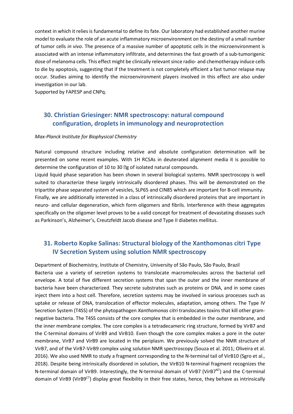context in which it relies is fundamental to define its fate. Our laboratory had established another murine model to evaluate the role of an acute inflammatory microenvironment on the destiny of a small number of tumor cells in vivo. The presence of a massive number of apoptotic cells in the microenvironment is associated with an intense inflammatory infiltrate, and determines the fast growth of a sub-tumorigenic dose of melanoma cells. This effect might be clinically relevant since radio- and chemotherapy induce cells to die by apoptosis, suggesting that if the treatment is not completely efficient a fast tumor relapse may occur. Studies aiming to identify the microenvironment players involved in this effect are also under investigation in our lab.

Supported by FAPESP and CNPq.

## 30. Christian Griesinger: NMR spectroscopy: natural compound configuration, droplets in immunology and neuroprotection

#### Max-Planck Institute for Biophysical Chemistry

Natural compound structure including relative and absolute configuration determination will be presented on some recent examples. With 1H RCSAs in deuterated alignment media it is possible to determine the configuration of 10 to 30 <sup>g</sup>g of isolated natural compounds.

Liquid liquid phase separation has been shown in several biological systems. NMR spectroscopy is well suited to characterize these largely intrinsically disordered phases. This will be demonstrated on the tripartite phase separated system of vesicles, SLP65 and CIN85 which are important for B-cell immunity. Finally, we are additionally interested in a class of intrinsically disordered proteins that are important in neuro- and cellular degeneration, which form oligomers and fibrils. Interference with these aggregates specifically on the oligomer level proves to be a valid concept for treatment of devastating diseases such as Parkinson's, Alzheimer's, Creutzfeldt Jacob disease and Type II diabetes mellitus.

## 31. Roberto Kopke Salinas: Structural biology of the Xanthomonas citri Type IV Secretion System using solution NMR spectroscopy

Department of Biochemistry, Institute of Chemistry, University of São Paulo, São Paulo, Brazil Bacteria use a variety of secretion systems to translocate macromolecules across the bacterial cell envelope. A total of five different secretion systems that span the outer and the inner membrane of bacteria have been characterized. They secrete substrates such as proteins or DNA, and in some cases inject them into a host cell. Therefore, secretion systems may be involved in various processes such as uptake or release of DNA, translocation of effector molecules, adaptation, among others. The Type IV Secretion System (T4SS) of the phytopathogen Xanthomonas citri translocates toxins that kill other gramnegative bacteria. The T4SS consists of the core complex that is embedded in the outer membrane, and the inner membrane complex. The core complex is a tetradecameric ring structure, formed by VirB7 and the C-terminal domains of VirB9 and VirB10. Even though the core complex makes a pore in the outer membrane, VirB7 and VirB9 are located in the periplasm. We previously solved the NMR structure of VirB7, and of the VirB7-VirB9 complex using solution NMR spectroscopy (Souza et al. 2011; Oliveira et al. 2016). We also used NMR to study a fragment corresponding to the N-terminal tail of VirB10 (Sgro et al., 2018). Despite being intrinsically disordered in solution, the VirB10 N-terminal fragment recognizes the N-terminal domain of VirB9. Interestingly, the N-terminal domain of VirB7 (VirB7<sup>NT</sup>) and the C-terminal domain of VirB9 (VirB9CT) display great flexibility in their free states, hence, they behave as intrinsically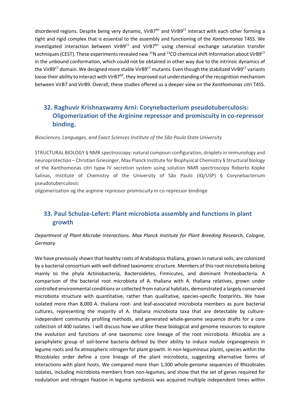disordered regions. Despite being very dynamic, VirB7 $N<sup>T</sup>$  and VirB9 $<sup>CT</sup>$  interact with each other forming a</sup> tight and rigid complex that is essential to the assembly and functioning of the Xanthomonas T4SS. We investigated interaction between VirB9 $^{CT}$  and VirB7 $^{NT}$  using chemical exchange saturation transfer techniques (CEST). These experiments revealed new <sup>15</sup>N and <sup>13</sup>CO chemical shift information about VirB9<sup>CT</sup> in the unbound conformation, which could not be obtained in other way due to the intrinsic dynamics of the VirB9<sup>CT</sup> domain. We designed more stable VirB9<sup>CT</sup> mutants. Even though the stabilized VirB9<sup>CT</sup> variants loose their ability to interact with VirB7<sup>NT</sup>, they improved out understanding of the recognition mechanism between VirB7 and VirB9. Overall, these studies offered us a deeper view on the Xanthomonas citri T4SS.

## 32. Raghuvir Krishnaswamy Arni: Corynebacterium pseudotuberculosis: Oligomerization of the Arginine repressor and promiscuity in co-repressor binding.

Biosciences, Languages, and Exact Sciences Institute of the São Paulo State University

STRUCTURAL BIOLOGY § NMR spectroscopy: natural compoun configuration, droplets in immunology and neuroprotection – Christian Griesinger, Max Planck Institute for Biophysical Chemistry § Structural biology of the Xanthomonas citri typw IV secretion system using solution NMR spectroscopy Roberto Kopke Salinas, Institute of Chemistry of the University of São Paulo (IQ/USP) § Corynebacterium pseudotuberculosis:

oligomerization og the arginine repressor promiscuity in co-repressor bindinge

## 33. Paul Schulze-Lefert: Plant microbiota assembly and functions in plant growth

#### Department of Plant-Microbe Interactions. Max Planck Institute for Plant Breeding Research, Cologne, Germany

We have previously shown that healthy roots of Arabidopsis thaliana, grown in natural soils, are colonized by a bacterial consortium with well-defined taxonomic structure. Members of this root microbiota belong mainly to the phyla Actinobacteria, Bacteroidetes, Firmicutes, and dominant Proteobacteria. A comparison of the bacterial root microbiota of A. thaliana with A. thaliana relatives, grown under controlled environmental conditions or collected from natural habitats, demonstrated a largely conserved microbiota structure with quantitative, rather than qualitative, species-specific footprints. We have isolated more than 8,000 A. thaliana root- and leaf-associated microbiota members as pure bacterial cultures, representing the majority of A. thaliana microbiota taxa that are detectable by cultureindependent community profiling methods, and generated whole-genome sequence drafts for a core collection of 400 isolates. I will discuss how we utilize these biological and genome resources to explore the evolution and functions of one taxonomic core lineage of the root microbiota. Rhizobia are a paraphyletic group of soil-borne bacteria defined by their ability to induce nodule organogenesis in legume roots and fix atmospheric nitrogen for plant growth. In non-leguminous plants, species within the Rhizobiales order define a core lineage of the plant microbiota, suggesting alternative forms of interactions with plant hosts. We compared more than 1,300 whole-genome sequences of Rhizobiales isolates, including microbiota members from non-legumes, and show that the set of genes required for nodulation and nitrogen fixation in legume symbiosis was acquired multiple independent times within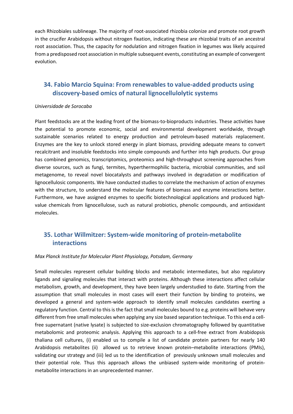each Rhizobiales sublineage. The majority of root-associated rhizobia colonize and promote root growth in the crucifer Arabidopsis without nitrogen fixation, indicating these are rhizobial traits of an ancestral root association. Thus, the capacity for nodulation and nitrogen fixation in legumes was likely acquired from a predisposed root association in multiple subsequent events, constituting an example of convergent evolution.

## 34. Fabio Marcio Squina: From renewables to value-added products using discovery-based omics of natural lignocellulolytic systems

#### Universidade de Sorocaba

Plant feedstocks are at the leading front of the biomass-to-bioproducts industries. These activities have the potential to promote economic, social and environmental development worldwide, through sustainable scenarios related to energy production and petroleum-based materials replacement. Enzymes are the key to unlock stored energy in plant biomass, providing adequate means to convert recalcitrant and insoluble feedstocks into simple compounds and further into high products. Our group has combined genomics, transcriptomics, proteomics and high-throughput screening approaches from diverse sources, such as fungi, termites, hyperthermophilic bacteria, microbial communities, and soil metagenome, to reveal novel biocatalysts and pathways involved in degradation or modification of lignocellulosic components. We have conducted studies to correlate the mechanism of action of enzymes with the structure, to understand the molecular features of biomass and enzyme interactions better. Furthermore, we have assigned enzymes to specific biotechnological applications and produced highvalue chemicals from lignocellulose, such as natural probiotics, phenolic compounds, and antioxidant molecules.

## 35. Lothar Willmitzer: System-wide monitoring of protein-metabolite interactions

#### Max Planck Institute for Molecular Plant Physiology, Potsdam, Germany

Small molecules represent cellular building blocks and metabolic intermediates, but also regulatory ligands and signaling molecules that interact with proteins. Although these interactions affect cellular metabolism, growth, and development, they have been largely understudied to date. Starting from the assumption that small molecules in most cases will exert their function by binding to proteins, we developed a general and system-wide approach to identify small molecules candidates exerting a regulatory function. Central to this is the fact that small molecules bound to e.g. proteins will behave very different from free small molecules when applying any size based separation technique. To this end a cellfree supernatant (native lysate) is subjected to size-exclusion chromatography followed by quantitative metabolomic and proteomic analysis. Applying this approach to a cell-free extract from Arabidopsis thaliana cell cultures, (i) enabled us to compile a list of candidate protein partners for nearly 140 Arabidopsis metabolites (ii) allowed us to retrieve known protein–metabolite interactions (PMIs), validating our strategy and (iii) led us to the identification of previously unknown small molecules and their potential role. Thus this approach allows the unbiased system-wide monitoring of proteinmetabolite interactions in an unprecedented manner.